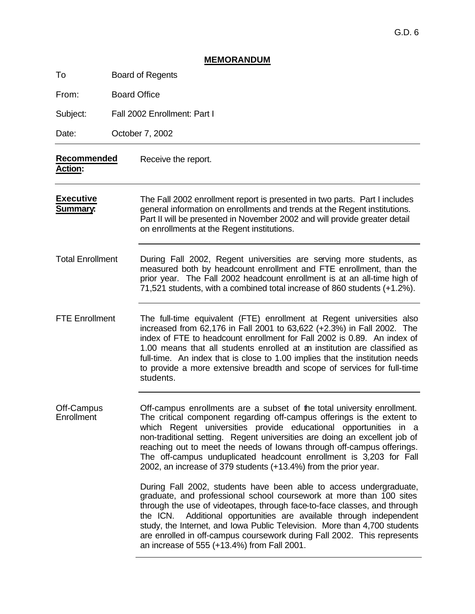|                                     |  | <b>MEMORANDUM</b>                                                                                                                                                                                                                                                                                                                                                                                                                                                                                                      |  |  |  |
|-------------------------------------|--|------------------------------------------------------------------------------------------------------------------------------------------------------------------------------------------------------------------------------------------------------------------------------------------------------------------------------------------------------------------------------------------------------------------------------------------------------------------------------------------------------------------------|--|--|--|
| To                                  |  | <b>Board of Regents</b>                                                                                                                                                                                                                                                                                                                                                                                                                                                                                                |  |  |  |
| From:                               |  | <b>Board Office</b>                                                                                                                                                                                                                                                                                                                                                                                                                                                                                                    |  |  |  |
| Subject:                            |  | Fall 2002 Enrollment: Part I                                                                                                                                                                                                                                                                                                                                                                                                                                                                                           |  |  |  |
| Date:                               |  | October 7, 2002                                                                                                                                                                                                                                                                                                                                                                                                                                                                                                        |  |  |  |
| Recommended<br><b>Action:</b>       |  | Receive the report.                                                                                                                                                                                                                                                                                                                                                                                                                                                                                                    |  |  |  |
| <b>Executive</b><br><b>Summary:</b> |  | The Fall 2002 enrollment report is presented in two parts. Part I includes<br>general information on enrollments and trends at the Regent institutions.<br>Part II will be presented in November 2002 and will provide greater detail<br>on enrollments at the Regent institutions.                                                                                                                                                                                                                                    |  |  |  |
| <b>Total Enrollment</b>             |  | During Fall 2002, Regent universities are serving more students, as<br>measured both by headcount enrollment and FTE enrollment, than the<br>prior year. The Fall 2002 headcount enrollment is at an all-time high of<br>71,521 students, with a combined total increase of 860 students (+1.2%).                                                                                                                                                                                                                      |  |  |  |
| <b>FTE Enrollment</b>               |  | The full-time equivalent (FTE) enrollment at Regent universities also<br>increased from 62,176 in Fall 2001 to 63,622 (+2.3%) in Fall 2002. The<br>index of FTE to headcount enrollment for Fall 2002 is 0.89. An index of<br>1.00 means that all students enrolled at an institution are classified as<br>full-time. An index that is close to 1.00 implies that the institution needs<br>to provide a more extensive breadth and scope of services for full-time<br>students.                                        |  |  |  |
| Off-Campus<br>Enrollment            |  | Off-campus enrollments are a subset of the total university enrollment.<br>The critical component regarding off-campus offerings is the extent to<br>which Regent universities provide educational opportunities in a<br>non-traditional setting. Regent universities are doing an excellent job of<br>reaching out to meet the needs of lowans through off-campus offerings.<br>The off-campus unduplicated headcount enrollment is 3,203 for Fall<br>2002, an increase of 379 students (+13.4%) from the prior year. |  |  |  |
|                                     |  | During Fall 2002, students have been able to access undergraduate,<br>graduate, and professional school coursework at more than 100 sites<br>through the use of videotapes, through face-to-face classes, and through<br>Additional opportunities are available through independent<br>the ICN.<br>study, the Internet, and Iowa Public Television. More than 4,700 students<br>are enrolled in off-campus coursework during Fall 2002. This represents<br>an increase of 555 (+13.4%) from Fall 2001.                 |  |  |  |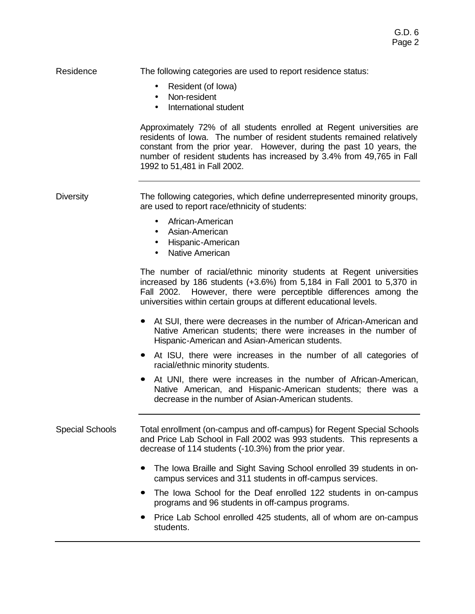## Residence The following categories are used to report residence status:

- Resident (of Iowa)
- Non-resident
- International student

Approximately 72% of all students enrolled at Regent universities are residents of Iowa. The number of resident students remained relatively constant from the prior year. However, during the past 10 years, the number of resident students has increased by 3.4% from 49,765 in Fall 1992 to 51,481 in Fall 2002.

Diversity The following categories, which define underrepresented minority groups, are used to report race/ethnicity of students:

- African-American
- Asian-American
- Hispanic-American
- **Native American**

The number of racial/ethnic minority students at Regent universities increased by 186 students (+3.6%) from 5,184 in Fall 2001 to 5,370 in Fall 2002. However, there were perceptible differences among the universities within certain groups at different educational levels.

- **ó** At SUI, there were decreases in the number of African-American and Native American students; there were increases in the number of Hispanic-American and Asian-American students.
- **ó** At ISU, there were increases in the number of all categories of racial/ethnic minority students.
- **ó** At UNI, there were increases in the number of African-American, Native American, and Hispanic-American students; there was a decrease in the number of Asian-American students.

### Special Schools Total enrollment (on-campus and off-campus) for Regent Special Schools and Price Lab School in Fall 2002 was 993 students. This represents a decrease of 114 students (-10.3%) from the prior year.

- **ó** The Iowa Braille and Sight Saving School enrolled 39 students in oncampus services and 311 students in off-campus services.
- **ó** The Iowa School for the Deaf enrolled 122 students in on-campus programs and 96 students in off-campus programs.
- **ó** Price Lab School enrolled 425 students, all of whom are on-campus students.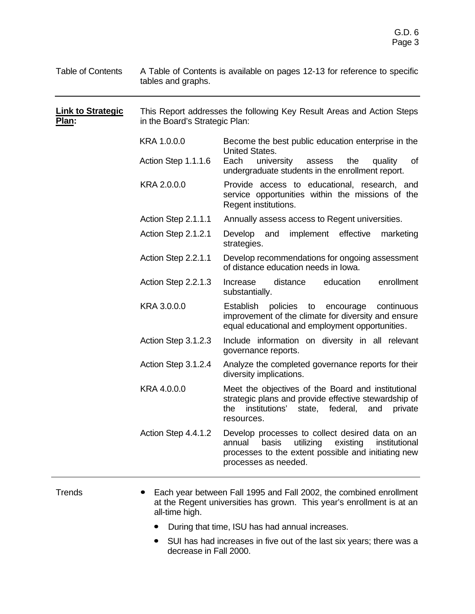| <b>Table of Contents</b>          | A Table of Contents is available on pages 12-13 for reference to specific<br>tables and graphs. |                                                                                                                                                                                             |  |  |  |  |
|-----------------------------------|-------------------------------------------------------------------------------------------------|---------------------------------------------------------------------------------------------------------------------------------------------------------------------------------------------|--|--|--|--|
| <u>Link to Strategic</u><br>Plan: |                                                                                                 | This Report addresses the following Key Result Areas and Action Steps<br>in the Board's Strategic Plan:                                                                                     |  |  |  |  |
|                                   | KRA 1.0.0.0                                                                                     | Become the best public education enterprise in the<br>United States.                                                                                                                        |  |  |  |  |
|                                   | Action Step 1.1.1.6                                                                             | Each<br>university<br>the<br>assess<br>quality<br>οf<br>undergraduate students in the enrollment report.                                                                                    |  |  |  |  |
|                                   | KRA 2.0.0.0                                                                                     | Provide access to educational, research, and<br>service opportunities within the missions of the<br>Regent institutions.                                                                    |  |  |  |  |
|                                   | Action Step 2.1.1.1                                                                             | Annually assess access to Regent universities.                                                                                                                                              |  |  |  |  |
|                                   | Action Step 2.1.2.1                                                                             | Develop and implement effective<br>marketing<br>strategies.                                                                                                                                 |  |  |  |  |
|                                   | Action Step 2.2.1.1                                                                             | Develop recommendations for ongoing assessment<br>of distance education needs in lowa.                                                                                                      |  |  |  |  |
|                                   | Action Step 2.2.1.3                                                                             | enrollment<br>distance<br>education<br>Increase<br>substantially.                                                                                                                           |  |  |  |  |
|                                   | KRA 3.0.0.0                                                                                     | <b>Establish</b><br>policies<br>to<br>encourage<br>continuous<br>improvement of the climate for diversity and ensure<br>equal educational and employment opportunities.                     |  |  |  |  |
|                                   | Action Step 3.1.2.3                                                                             | Include information on diversity in all relevant<br>governance reports.                                                                                                                     |  |  |  |  |
|                                   | Action Step 3.1.2.4                                                                             | Analyze the completed governance reports for their<br>diversity implications.                                                                                                               |  |  |  |  |
|                                   | KRA 4.0.0.0                                                                                     | Meet the objectives of the Board and institutional<br>strategic plans and provide effective stewardship of<br>institutions'<br>federal,<br>the<br>state,<br>and<br>private<br>resources.    |  |  |  |  |
|                                   | Action Step 4.4.1.2                                                                             | Develop processes to collect desired data on an<br>basis<br>utilizing<br>annual<br>existing<br>institutional<br>processes to the extent possible and initiating new<br>processes as needed. |  |  |  |  |
|                                   |                                                                                                 |                                                                                                                                                                                             |  |  |  |  |

- Trends **ó** Each year between Fall 1995 and Fall 2002, the combined enrollment at the Regent universities has grown. This year's enrollment is at an all-time high.
	- **ó** During that time, ISU has had annual increases.
	- **ó** SUI has had increases in five out of the last six years; there was a decrease in Fall 2000.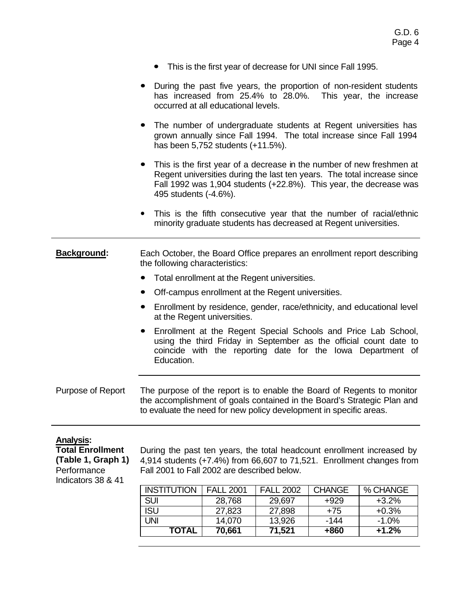- **ó** This is the first year of decrease for UNI since Fall 1995.
- **ó** During the past five years, the proportion of non-resident students has increased from 25.4% to 28.0%. This year, the increase occurred at all educational levels.
- **ó** The number of undergraduate students at Regent universities has grown annually since Fall 1994. The total increase since Fall 1994 has been 5,752 students (+11.5%).
- **ó** This is the first year of a decrease in the number of new freshmen at Regent universities during the last ten years. The total increase since Fall 1992 was 1,904 students (+22.8%). This year, the decrease was 495 students (-4.6%).
- This is the fifth consecutive year that the number of racial/ethnic minority graduate students has decreased at Regent universities.

**Background:** Each October, the Board Office prepares an enrollment report describing the following characteristics:

- **ó** Total enrollment at the Regent universities.
- **ó** Off-campus enrollment at the Regent universities.
- **ó** Enrollment by residence, gender, race/ethnicity, and educational level at the Regent universities.
- **ó** Enrollment at the Regent Special Schools and Price Lab School, using the third Friday in September as the official count date to coincide with the reporting date for the Iowa Department of Education.

Purpose of Report The purpose of the report is to enable the Board of Regents to monitor the accomplishment of goals contained in the Board's Strategic Plan and to evaluate the need for new policy development in specific areas.

#### **Analysis:**

**Total Enrollment (Table 1, Graph 1) Performance** Indicators 38 & 41

During the past ten years, the total headcount enrollment increased by 4,914 students (+7.4%) from 66,607 to 71,521. Enrollment changes from Fall 2001 to Fall 2002 are described below.

| <b>INSTITUTION</b> | <b>FALL 2001</b> | <b>FALL 2002</b> | <b>CHANGE</b> | % CHANGE |
|--------------------|------------------|------------------|---------------|----------|
| <b>SUI</b>         | 28,768           | 29,697           | +929          | $+3.2\%$ |
| <b>ISU</b>         | 27,823           | 27,898           | $+75$         | $+0.3%$  |
| UNI                | 14,070           | 13,926           | -144          | $-1.0\%$ |
| TOTAL              | 70,661           | 71,521           | +860          | $+1.2%$  |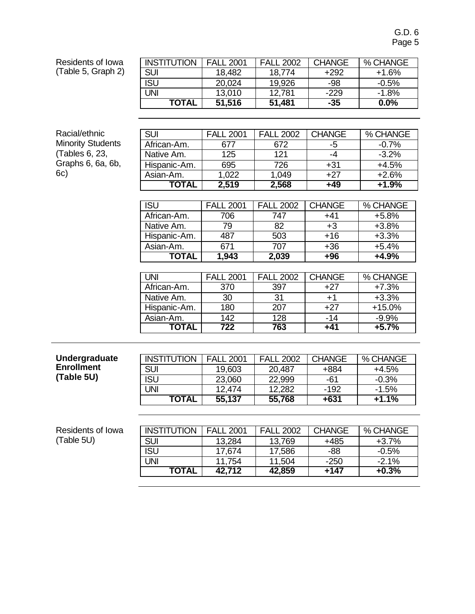G.D. 6 Page 5

Residents of Iowa (Table 5, Graph 2)

| (Table 5, Graph 2)       | <b>SUI</b>   | 18,482           | 18,774           | $+292$        | $+1.6%$  |
|--------------------------|--------------|------------------|------------------|---------------|----------|
|                          | <b>ISU</b>   | 20,024           | 19,926           | -98           | $-0.5%$  |
|                          | <b>UNI</b>   | 13,010           | 12,781           | $-229$        | $-1.8%$  |
|                          | <b>TOTAL</b> | 51,516           | 51,481           | $-35$         | $0.0\%$  |
|                          |              |                  |                  |               |          |
|                          |              |                  |                  |               |          |
| Racial/ethnic            | <b>SUI</b>   | <b>FALL 2001</b> | <b>FALL 2002</b> | <b>CHANGE</b> | % CHANGE |
| <b>Minority Students</b> | African-Am.  | 677              | 672              | $-5$          | $-0.7%$  |
| (Tables 6, 23,           | Native Am.   | 125              | 121              | $-4$          | $-3.2\%$ |
| Graphs 6, 6a, 6b,        | Hispanic-Am. | 695              | 726              | $+31$         | $+4.5%$  |
| 6c)                      | Asian-Am.    | 1,022            | 1,049            | $+27$         | $+2.6%$  |
|                          | <b>TOTAL</b> | 2,519            | 2,568            | +49           | $+1.9%$  |
|                          |              |                  |                  |               |          |
|                          | <b>ISU</b>   | <b>FALL 2001</b> | <b>FALL 2002</b> | <b>CHANGE</b> | % CHANGE |
|                          | African-Am.  | 706              | 747              | $+41$         | $+5.8%$  |
|                          | Native Am.   | 79               | 82               | $+3$          | $+3.8%$  |
|                          | Hispanic-Am. | 487              | 503              | $+16$         | $+3.3%$  |
|                          | Asian-Am.    | 671              | 707              | $+36$         | $+5.4%$  |
|                          | <b>TOTAL</b> | 1,943            | 2,039            | $+96$         | $+4.9%$  |
|                          |              |                  |                  |               |          |
|                          | UNI          | <b>FALL 2001</b> | <b>FALL 2002</b> | <b>CHANGE</b> | % CHANGE |
|                          | African-Am.  | 370              | 397              | $+27$         | $+7.3%$  |
|                          | Native Am.   | 30               | 31               | $+1$          | $+3.3%$  |
|                          | Hispanic-Am. | 180              | 207              | $+27$         | +15.0%   |
|                          | Asian-Am.    | 142              | 128              | $-14$         | $-9.9\%$ |
|                          | <b>TOTAL</b> | 722              | 763              | $+41$         | $+5.7%$  |

INSTITUTION | FALL 2001 | FALL 2002 | CHANGE | % CHANGE

| Undergraduate     | <b>INSTITUTION</b> | <b>FALL 2001</b> | <b>FALL 2002</b> | <b>CHANGE</b> | % CHANGE |
|-------------------|--------------------|------------------|------------------|---------------|----------|
| <b>Enrollment</b> | <b>SUI</b>         | 19,603           | 20,487           | +884          | $+4.5%$  |
| (Table 5U)        | <b>ISU</b>         | 23,060           | 22,999           | -61           | $-0.3%$  |
|                   | UNI                | 12.474           | 12,282           | $-192$        | $-1.5%$  |
|                   | <b>TOTAL</b>       | 55,137           | 55,768           | $+631$        | $+1.1%$  |

| Residents of Iowa | <b>INSTITUTION</b> | <b>FALL 2001</b> | <b>FALL 2002</b> | <b>CHANGE</b> | % CHANGE |
|-------------------|--------------------|------------------|------------------|---------------|----------|
| (Table 5U)        | <b>SUI</b>         | 13,284           | 13,769           | +485          | $+3.7%$  |
|                   | <b>ISU</b>         | 17,674           | 17,586           | $-88$         | $-0.5%$  |
|                   | UNI                | 11.754           | 11,504           | $-250$        | $-2.1%$  |
|                   | <b>TOTAL</b>       | 42.712           | 42,859           | $+147$        | $+0.3%$  |
|                   |                    |                  |                  |               |          |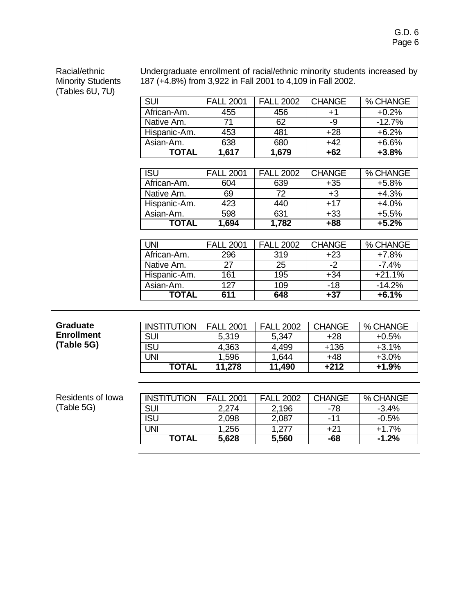G.D. 6 Page 6

Racial/ethnic Minority Students (Tables 6U, 7U)

Undergraduate enrollment of racial/ethnic minority students increased by 187 (+4.8%) from 3,922 in Fall 2001 to 4,109 in Fall 2002.

| SUI          | <b>FALL 2001</b> | <b>FALL 2002</b> | <b>CHANGE</b> | % CHANGE |
|--------------|------------------|------------------|---------------|----------|
| African-Am.  | 455              | 456              | $+1$          | $+0.2%$  |
| Native Am.   |                  | 62               | -9            | $-12.7%$ |
| Hispanic-Am. | 453              | 481              | $+28$         | $+6.2%$  |
| Asian-Am.    | 638              | 680              | $+42$         | $+6.6%$  |
| TOTAL        | 1.617            | 1,679            | +62           | $+3.8%$  |

| ISU          | <b>FALL 2001</b> | <b>FALL 2002</b> | <b>CHANGE</b> | % CHANGE |
|--------------|------------------|------------------|---------------|----------|
| African-Am.  | 604              | 639              | $+35$         | $+5.8%$  |
| Native Am.   | 69               | 72               | +3            | $+4.3%$  |
| Hispanic-Am. | 423              | 440              | $+17$         | $+4.0%$  |
| Asian-Am.    | 598              | 631              | $+33$         | $+5.5%$  |
| TOTAL        | 1,694            | 1,782            | +88           | $+5.2%$  |

| UNI          | <b>FALL 2001</b> | <b>FALL 2002</b> | <b>CHANGE</b> | % CHANGE |
|--------------|------------------|------------------|---------------|----------|
| African-Am.  | 296              | 319              | $+23$         | $+7.8%$  |
| Native Am.   | 27               | 25               | $-2^{\circ}$  | $-7.4%$  |
| Hispanic-Am. | 161              | 195              | $+34$         | $+21.1%$ |
| Asian-Am.    | 127              | 109              | $-18$         | $-14.2%$ |
| TOTAL        | 611              | 648              | +37           | $+6.1%$  |

| <b>Graduate</b>   | <b>INSTITUTION</b> | <b>FALL 2001</b> | <b>FALL 2002</b> | <b>CHANGE</b> | % CHANGE |
|-------------------|--------------------|------------------|------------------|---------------|----------|
| <b>Enrollment</b> | <b>SUI</b>         | 5,319            | 5,347            | $+28$         | $+0.5%$  |
| (Table 5G)        | ISU                | 4,363            | 4,499            | $+136$        | $+3.1%$  |
|                   | UNI                | 1,596            | 1,644            | $+48$         | $+3.0\%$ |
|                   | <b>TOTAL</b>       | 11,278           | 11,490           | +212          | $+1.9%$  |

| Residents of Iowa | <b>INSTITUTION</b> | <b>FALL 2001</b> | <b>FALL 2002</b> | <b>CHANGE</b> | % CHANGE |
|-------------------|--------------------|------------------|------------------|---------------|----------|
| (Table 5G)        | SUI                | 2.274            | 2,196            | -78           | $-3.4%$  |
|                   | ISU                | 2,098            | 2,087            | -11           | $-0.5%$  |
|                   | JNI                | 1,256            | .277             | $+21$         | $+1.7%$  |
|                   | <b>TOTAL</b>       | 5,628            | 5,560            | -68           | $-1.2%$  |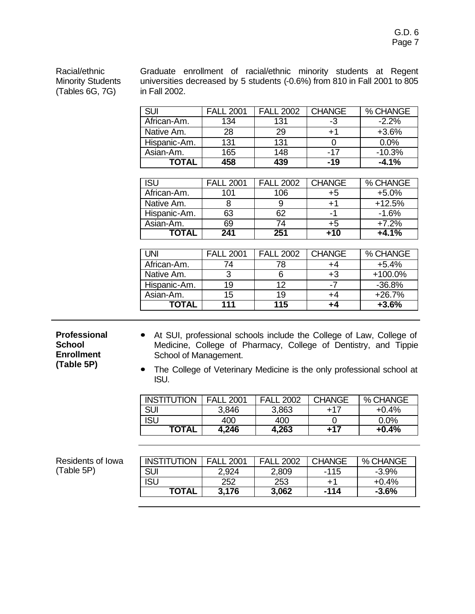Racial/ethnic Minority Students (Tables 6G, 7G)

Graduate enrollment of racial/ethnic minority students at Regent universities decreased by 5 students (-0.6%) from 810 in Fall 2001 to 805 in Fall 2002.

| <b>SUI</b>   | <b>FALL 2001</b> | <b>FALL 2002</b> | <b>CHANGE</b> | % CHANGE |
|--------------|------------------|------------------|---------------|----------|
| African-Am.  | 134              | 131              | -3            | $-2.2%$  |
| Native Am.   | 28               | 29               | $+1$          | $+3.6%$  |
| Hispanic-Am. | 131              | 131              |               | 0.0%     |
| Asian-Am.    | 165              | 148              | -17           | $-10.3%$ |
| TOTAL        | 458              | 439              | $-19$         | $-4.1%$  |

| <b>ISU</b>   | <b>FALL 2001</b> | <b>FALL 2002</b> | <b>CHANGE</b> | % CHANGE |
|--------------|------------------|------------------|---------------|----------|
| African-Am.  | 101              | 106              | +5            | $+5.0%$  |
| Native Am.   |                  |                  | $+1$          | $+12.5%$ |
| Hispanic-Am. | 63               | 62               | -1            | $-1.6%$  |
| Asian-Am.    | 69               | 74               | +5            | $+7.2%$  |
| ιΩΤΩι        | 241              | 251              | +10           | +4.1%    |

| UNI          | <b>FALL 2001</b> | <b>FALL 2002</b> | <b>CHANGE</b> | % CHANGE  |
|--------------|------------------|------------------|---------------|-----------|
| African-Am.  | 74               | 78               | +4            | $+5.4%$   |
| Native Am.   |                  |                  | $+3$          | $+100.0%$ |
| Hispanic-Am. | 19               | 12               | -7            | $-36.8%$  |
| Asian-Am.    | 15               | 19               | +4            | $+26.7%$  |
| TOTAL        | 111              | 115              | +4            | $+3.6%$   |

**Professional School Enrollment (Table 5P)**

- **ó** At SUI, professional schools include the College of Law, College of Medicine, College of Pharmacy, College of Dentistry, and Tippie School of Management.
- **ó** The College of Veterinary Medicine is the only professional school at ISU.

| <b>INSTITUTION</b> | FAII<br>2001 | <b>FAII</b><br>2002 | <b>CHANGE</b> | % CHANGE |
|--------------------|--------------|---------------------|---------------|----------|
| <b>SUI</b>         | 3,846        | 3,863               | +17           | $+0.4%$  |
| ISU                | 400          | 400                 |               | 0.0%     |
| <b>TOTAL</b>       | 4,246        | 4,263               | +17           | $+0.4%$  |

| Residents of Iowa | <b>INSTITUTION</b> | <b>FALL 2001</b> | <b>FALL 2002</b> | <b>CHANGE</b> | % CHANGE |
|-------------------|--------------------|------------------|------------------|---------------|----------|
| (Table 5P)        | <b>SUI</b>         | 2,924            | 2,809            | $-115$        | $-3.9\%$ |
|                   | <b>ISL</b>         | 252              | 253              | ∓1            | $+0.4%$  |
|                   | <b>TOTAL</b>       | 3.176            | 3,062            | -114          | $-3.6%$  |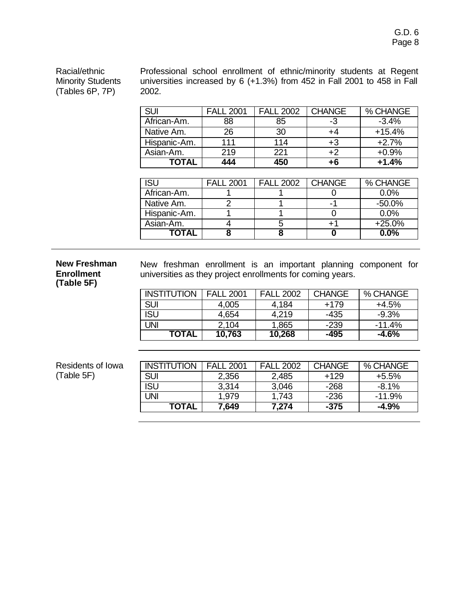Racial/ethnic Minority Students (Tables 6P, 7P)

Professional school enrollment of ethnic/minority students at Regent universities increased by 6 (+1.3%) from 452 in Fall 2001 to 458 in Fall 2002.

| <b>SUI</b>   | <b>FALL 2001</b> | <b>FALL 2002</b> | <b>CHANGE</b> | % CHANGE |
|--------------|------------------|------------------|---------------|----------|
| African-Am.  | 88               | 85               | -3            | $-3.4%$  |
| Native Am.   | 26               | 30               | +4            | $+15.4%$ |
| Hispanic-Am. | 111              | 114              | +3            | $+2.7%$  |
| Asian-Am.    | 219              | 221              | +2            | $+0.9%$  |
| TOTAL        | 444              | 450              | +6            | $+1.4%$  |

| ISU          | <b>FALL 2001</b> | <b>FALL 2002</b> | <b>CHANGE</b> | % CHANGE  |
|--------------|------------------|------------------|---------------|-----------|
| African-Am.  |                  |                  |               | 0.0%      |
| Native Am.   |                  |                  | -1            | $-50.0\%$ |
| Hispanic-Am. |                  |                  |               | 0.0%      |
| Asian-Am.    |                  |                  | +1            | $+25.0%$  |
| ΤΩΤΔΙ        |                  |                  |               | $0.0\%$   |

#### **New Freshman Enrollment (Table 5F)**

New freshman enrollment is an important planning component for universities as they project enrollments for coming years.

| <b>INSTITUTION</b> | <b>FALL 2001</b> | <b>FALL 2002</b> | <b>CHANGE</b> | % CHANGE |
|--------------------|------------------|------------------|---------------|----------|
| <b>SUI</b>         | 4,005            | 4,184            | $+179$        | $+4.5%$  |
| <b>ISU</b>         | 4,654            | 4,219            | -435          | $-9.3%$  |
| UNI                | 2,104            | 1,865            | $-239$        | $-11.4%$ |
| <b>TOTAL</b>       | 10,763           | 10,268           | -495          | $-4.6\%$ |

| Residents of Iowa |  |
|-------------------|--|
| (Table 5F)        |  |

| <b>INSTITUTION</b> | <b>FALL 2001</b> | <b>FALL 2002</b> | <b>CHANGE</b> | % CHANGE |
|--------------------|------------------|------------------|---------------|----------|
| <b>SUI</b>         | 2,356            | 2,485            | $+129$        | $+5.5%$  |
| <b>ISU</b>         | 3,314            | 3,046            | $-268$        | $-8.1\%$ |
| UNI                | 1,979            | 1,743            | $-236$        | $-11.9%$ |
| TOTAL              | 7,649            | 7,274            | $-375$        | $-4.9\%$ |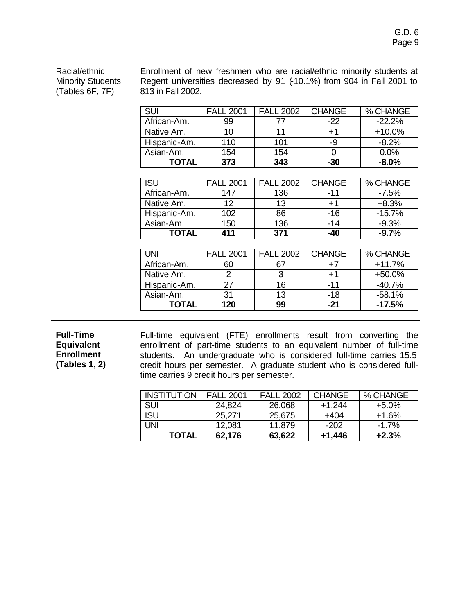Racial/ethnic Minority Students (Tables 6F, 7F)

Enrollment of new freshmen who are racial/ethnic minority students at Regent universities decreased by 91 (-10.1%) from 904 in Fall 2001 to 813 in Fall 2002.

| <b>SUI</b>   | <b>FALL 2001</b> | <b>FALL 2002</b> | <b>CHANGE</b> | % CHANGE |
|--------------|------------------|------------------|---------------|----------|
| African-Am.  | 99               |                  | $-22$         | $-22.2%$ |
| Native Am.   | 10               | 11               | $+1$          | $+10.0%$ |
| Hispanic-Am. | 110              | 101              | -9            | $-8.2%$  |
| Asian-Am.    | 154              | 154              |               | 0.0%     |
| TOTAL        | 373              | 343              | -30           | $-8.0\%$ |

| <b>ISU</b>   | <b>FALL 2001</b> | <b>FALL 2002</b> | <b>CHANGE</b> | % CHANGE |
|--------------|------------------|------------------|---------------|----------|
| African-Am.  | 147              | 136              | -11           | $-7.5\%$ |
| Native Am.   | 12               | 13               | $+1$          | $+8.3%$  |
| Hispanic-Am. | 102              | 86               | $-16$         | $-15.7%$ |
| Asian-Am.    | 150              | 136              | $-14$         | $-9.3%$  |
| ΤΟΤΑL        | 411              | 371              | -40           | $-9.7%$  |

| UNI          | <b>FALL 2001</b> | <b>FALL 2002</b> | <b>CHANGE</b> | % CHANGE |
|--------------|------------------|------------------|---------------|----------|
| African-Am.  |                  |                  | $+7$          | $+11.7%$ |
| Native Am.   |                  | ຈ                | $+1$          | +50.0%   |
| Hispanic-Am. | 27               | 16               | -11           | $-40.7%$ |
| Asian-Am.    | 31               | 13               | $-18$         | $-58.1%$ |
| TOTAL        | 120              | 99               | -21           | $-17.5%$ |

**Full-Time Equivalent Enrollment (Tables 1, 2)** Full-time equivalent (FTE) enrollments result from converting the enrollment of part-time students to an equivalent number of full-time students. An undergraduate who is considered full-time carries 15.5 credit hours per semester. A graduate student who is considered fulltime carries 9 credit hours per semester.

| <b>INSTITUTION</b> | <b>FALL 2001</b> | <b>FALL 2002</b> | <b>CHANGE</b> | % CHANGE |
|--------------------|------------------|------------------|---------------|----------|
| <b>SUI</b>         | 24,824           | 26,068           | $+1,244$      | $+5.0\%$ |
| <b>ISU</b>         | 25,271           | 25,675           | $+404$        | $+1.6%$  |
| UNI                | 12,081           | 11,879           | $-202$        | $-1.7%$  |
| TOTAL              | 62,176           | 63,622           | $+1,446$      | $+2.3%$  |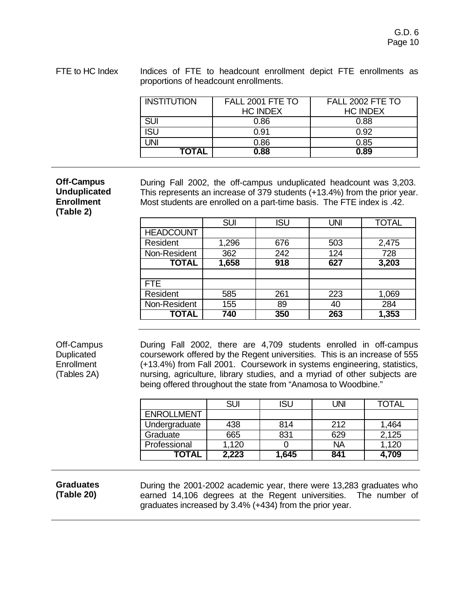FTE to HC Index Indices of FTE to headcount enrollment depict FTE enrollments as proportions of headcount enrollments.

| <b>INSTITUTION</b> | FALL 2001 FTE TO | FALL 2002 FTE TO |  |
|--------------------|------------------|------------------|--|
|                    | <b>HC INDEX</b>  | <b>HC INDEX</b>  |  |
| <b>SUI</b>         | 0.86             | 0.88             |  |
| <b>ISU</b>         | 0.91             | 0.92             |  |
| UNI                | 0.86             | 0.85             |  |
| <b>TOTAL</b>       | 0.88             | 0.89             |  |

**Off-Campus Unduplicated Enrollment (Table 2)**

During Fall 2002, the off-campus unduplicated headcount was 3,203. This represents an increase of 379 students (+13.4%) from the prior year. Most students are enrolled on a part-time basis. The FTE index is .42.

|                  | <b>SUI</b> | <b>ISU</b> | <b>UNI</b> | <b>TOTAL</b> |
|------------------|------------|------------|------------|--------------|
| <b>HEADCOUNT</b> |            |            |            |              |
| Resident         | 1,296      | 676        | 503        | 2,475        |
| Non-Resident     | 362        | 242        | 124        | 728          |
| <b>TOTAL</b>     | 1,658      | 918        | 627        | 3,203        |
|                  |            |            |            |              |
| FTE.             |            |            |            |              |
| Resident         | 585        | 261        | 223        | 1,069        |
| Non-Resident     | 155        | 89         | 40         | 284          |
| <b>TOTAL</b>     | 740        | 350        | 263        | 1,353        |

Off-Campus Duplicated **Enrollment** (Tables 2A)

During Fall 2002, there are 4,709 students enrolled in off-campus coursework offered by the Regent universities. This is an increase of 555 (+13.4%) from Fall 2001. Coursework in systems engineering, statistics, nursing, agriculture, library studies, and a myriad of other subjects are being offered throughout the state from "Anamosa to Woodbine."

|                   | SUI   | ISU   | UNI | TOTAL |
|-------------------|-------|-------|-----|-------|
| <b>ENROLLMENT</b> |       |       |     |       |
| Undergraduate     | 438   | 814   | 212 | 1,464 |
| Graduate          | 665   | 831   | 629 | 2,125 |
| Professional      | 1,120 |       | NA  | 1,120 |
| TOTAL             | 2,223 | 1,645 | 841 | 4,709 |

**Graduates (Table 20)**

During the 2001-2002 academic year, there were 13,283 graduates who earned 14,106 degrees at the Regent universities. The number of graduates increased by 3.4% (+434) from the prior year.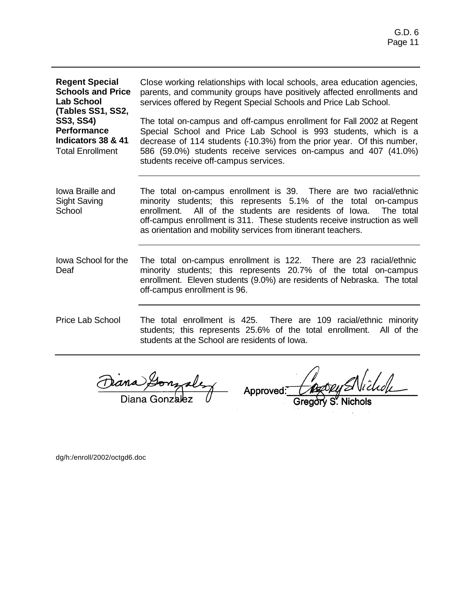| <b>Regent Special</b><br><b>Schools and Price</b><br><b>Lab School</b>                                       | Close working relationships with local schools, area education agencies,<br>parents, and community groups have positively affected enrollments and<br>services offered by Regent Special Schools and Price Lab School.                                                                                                                                     |  |  |
|--------------------------------------------------------------------------------------------------------------|------------------------------------------------------------------------------------------------------------------------------------------------------------------------------------------------------------------------------------------------------------------------------------------------------------------------------------------------------------|--|--|
| (Tables SS1, SS2,<br><b>SS3, SS4)</b><br><b>Performance</b><br>Indicators 38 & 41<br><b>Total Enrollment</b> | The total on-campus and off-campus enrollment for Fall 2002 at Regent<br>Special School and Price Lab School is 993 students, which is a<br>decrease of 114 students (-10.3%) from the prior year. Of this number,<br>586 (59.0%) students receive services on-campus and 407 (41.0%)<br>students receive off-campus services.                             |  |  |
| lowa Braille and<br><b>Sight Saving</b><br>School                                                            | The total on-campus enrollment is 39. There are two racial/ethnic<br>minority students; this represents 5.1% of the total on-campus<br>All of the students are residents of lowa.<br>enrollment.<br>The total<br>off-campus enrollment is 311. These students receive instruction as well<br>as orientation and mobility services from itinerant teachers. |  |  |
| lowa School for the<br>Deaf                                                                                  | The total on-campus enrollment is 122. There are 23 racial/ethnic<br>minority students; this represents 20.7% of the total on-campus<br>enrollment. Eleven students (9.0%) are residents of Nebraska. The total<br>off-campus enrollment is 96.                                                                                                            |  |  |
| <b>Price Lab School</b>                                                                                      | The total enrollment is 425. There are 109 racial/ethnic minority<br>students; this represents 25.6% of the total enrollment. All of the<br>students at the School are residents of lowa.                                                                                                                                                                  |  |  |

Dana Lonzalez Approved:

Vichole / podeud

Gregory S. Nichols

dg/h:/enroll/2002/octgd6.doc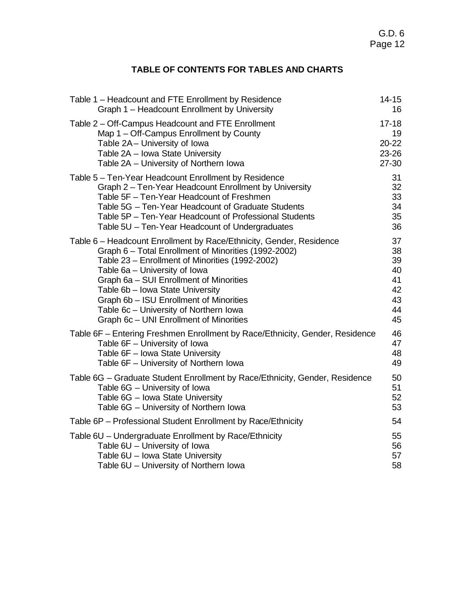# **TABLE OF CONTENTS FOR TABLES AND CHARTS**

| Table 1 - Headcount and FTE Enrollment by Residence                          | 14-15     |
|------------------------------------------------------------------------------|-----------|
| Graph 1 - Headcount Enrollment by University                                 | 16        |
| Table 2 – Off-Campus Headcount and FTE Enrollment                            | $17 - 18$ |
| Map 1 – Off-Campus Enrollment by County                                      | 19        |
| Table 2A - University of Iowa                                                | $20 - 22$ |
| Table 2A - Iowa State University                                             | 23-26     |
| Table 2A - University of Northern Iowa                                       | $27 - 30$ |
| Table 5 - Ten-Year Headcount Enrollment by Residence                         | 31        |
| Graph 2 - Ten-Year Headcount Enrollment by University                        | 32        |
| Table 5F - Ten-Year Headcount of Freshmen                                    | 33        |
| Table 5G - Ten-Year Headcount of Graduate Students                           | 34        |
| Table 5P - Ten-Year Headcount of Professional Students                       | 35        |
| Table 5U - Ten-Year Headcount of Undergraduates                              | 36        |
| Table 6 – Headcount Enrollment by Race/Ethnicity, Gender, Residence          | 37        |
| Graph 6 - Total Enrollment of Minorities (1992-2002)                         | 38        |
| Table 23 - Enrollment of Minorities (1992-2002)                              | 39        |
| Table 6a - University of Iowa                                                | 40        |
| Graph 6a - SUI Enrollment of Minorities                                      | 41        |
| Table 6b - Iowa State University                                             | 42        |
| Graph 6b - ISU Enrollment of Minorities                                      | 43        |
| Table 6c - University of Northern Iowa                                       | 44        |
| Graph 6c - UNI Enrollment of Minorities                                      | 45        |
| Table 6F – Entering Freshmen Enrollment by Race/Ethnicity, Gender, Residence | 46        |
| Table 6F - University of Iowa                                                | 47        |
| Table 6F - Iowa State University                                             | 48        |
| Table 6F - University of Northern Iowa                                       | 49        |
| Table 6G - Graduate Student Enrollment by Race/Ethnicity, Gender, Residence  | 50        |
| Table 6G - University of Iowa                                                | 51        |
| Table 6G - Iowa State University                                             | 52        |
| Table 6G - University of Northern Iowa                                       | 53        |
| Table 6P - Professional Student Enrollment by Race/Ethnicity                 | 54        |
| Table 6U - Undergraduate Enrollment by Race/Ethnicity                        | 55        |
| Table 6U - University of Iowa                                                | 56        |
| Table 6U - Iowa State University                                             | 57        |
| Table 6U - University of Northern Iowa                                       | 58        |